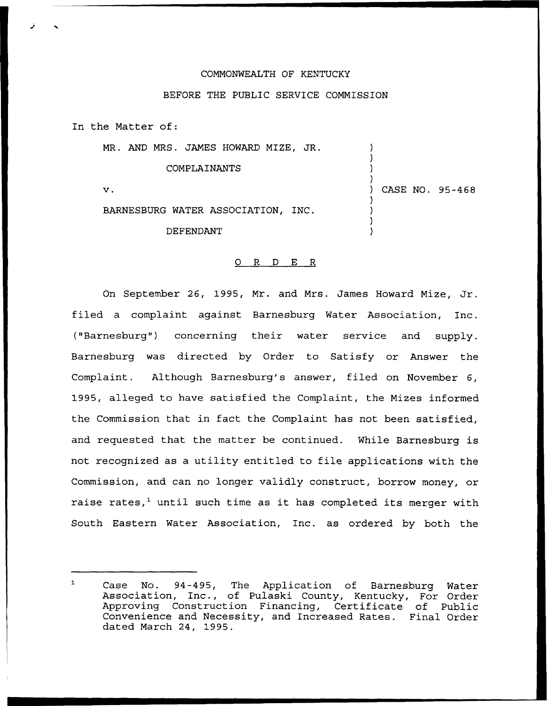## COMMONWEALTH OF KENTUCKY

## BEFORE THE PUBLIC SERVICE COMMISSION

In the Matter of:

MR. AND MRS. JAMES HOWARD MIZE, JR.

COMPLAINANTS

 $\mathbf v$ .

) CASE NO. 95-468

) ) ) )

) ) ) )

BARNESBURG WATER ASSOCIATION, INC.

DEFENDANT

## O R D E R

On September 26, 1995, Mr. and Mrs. James Howard Mize, Jr. filed a complaint against Barnesburg Water Association, Inc. ("Barnesburg") concerning their water service and supply. Barnesburg was directed by Order to Satisfy or Answer the Complaint. Although Barnesburg's answer, filed on November 6, 1995, alleged to have satisfied the Complaint, the Mizes informed the Commission that in fact the Complaint has not been satisfied, and requested that the matter be continued. While Barnesburg is not recognized as a utility entitled to file applications with the Commission, and can no longer validly construct, borrow money, or raise rates,<sup>1</sup> until such time as it has completed its merger with South Eastern Water Association, Inc. as ordered by both the

 $\mathbf{L}$ Case No. 94-495, The Application of Barnesburg Water Association, Inc., of Pulaski County, Kentucky, For Order Approving Construction Financing, Certificate of Public Convenience and Necessity, and Increased Rates. Final Order dated March 24, 1995.